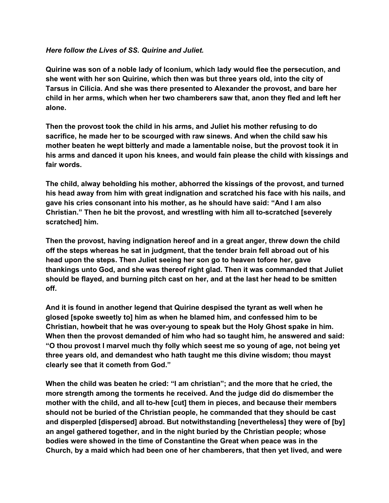## *Here follow the Lives of SS. Quirine and Juliet.*

**Quirine was son of a noble lady of Iconium, which lady would flee the persecution, and she went with her son Quirine, which then was but three years old, into the city of Tarsus in Cilicia. And she was there presented to Alexander the provost, and bare her child in her arms, which when her two chamberers saw that, anon they fled and left her alone.**

**Then the provost took the child in his arms, and Juliet his mother refusing to do sacrifice, he made her to be scourged with raw sinews. And when the child saw his mother beaten he wept bitterly and made a lamentable noise, but the provost took it in his arms and danced it upon his knees, and would fain please the child with kissings and fair words.**

**The child, alway beholding his mother, abhorred the kissings of the provost, and turned his head away from him with great indignation and scratched his face with his nails, and gave his cries consonant into his mother, as he should have said: "And I am also Christian." Then he bit the provost, and wrestling with him all toscratched [severely scratched] him.**

**Then the provost, having indignation hereof and in a great anger, threw down the child off the steps whereas he sat in judgment, that the tender brain fell abroad out of his head upon the steps. Then Juliet seeing her son go to heaven tofore her, gave thankings unto God, and she was thereof right glad. Then it was commanded that Juliet should be flayed, and burning pitch cast on her, and at the last her head to be smitten off.**

**And it is found in another legend that Quirine despised the tyrant as well when he glosed [spoke sweetly to] him as when he blamed him, and confessed him to be Christian, howbeit that he was overyoung to speak but the Holy Ghost spake in him. When then the provost demanded of him who had so taught him, he answered and said: "O thou provost I marvel much thy folly which seest me so young of age, not being yet three years old, and demandest who hath taught me this divine wisdom; thou mayst clearly see that it cometh from God."**

**When the child was beaten he cried: "I am christian"; and the more that he cried, the more strength among the torments he received. And the judge did do dismember the mother with the child, and all tohew [cut] them in pieces, and because their members should not be buried of the Christian people, he commanded that they should be cast and disperpled [dispersed] abroad. But notwithstanding [nevertheless] they were of [by] an angel gathered together, and in the night buried by the Christian people; whose bodies were showed in the time of Constantine the Great when peace was in the Church, by a maid which had been one of her chamberers, that then yet lived, and were**